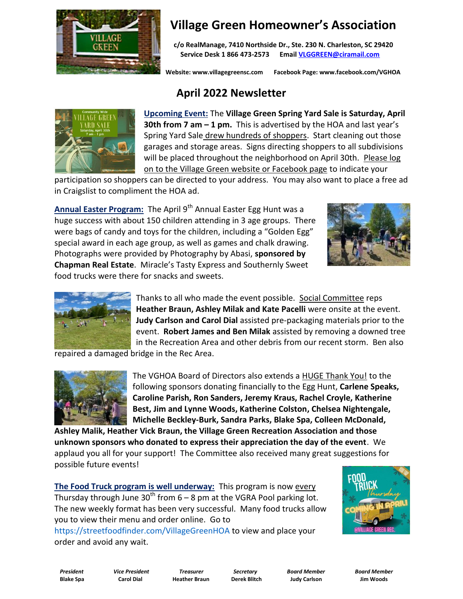

## **Village Green Homeowner's Association**

 **c/o RealManage, 7410 Northside Dr., Ste. 230 N. Charleston, SC 29420 Service Desk 1 866 473-2573 Email [VLGGREEN@ciramail.com](mailto:VLGGREEN@ciramail.com)**

 **Website: www.villagegreensc.com Facebook Page: www.facebook.com/VGHOA** 

## **April 2022 Newsletter**



**Upcoming Event:** The **Village Green Spring Yard Sale is Saturday, April 30th from 7 am – 1 pm.** This is advertised by the HOA and last year's Spring Yard Sale drew hundreds of shoppers. Start cleaning out those garages and storage areas. Signs directing shoppers to all subdivisions will be placed throughout the neighborhood on April 30th. Please log on to the Village Green website or Facebook page to indicate your

participation so shoppers can be directed to your address. You may also want to place a free ad in Craigslist to compliment the HOA ad.

Annual Easter Program: The April 9<sup>th</sup> Annual Easter Egg Hunt was a huge success with about 150 children attending in 3 age groups. There were bags of candy and toys for the children, including a "Golden Egg" special award in each age group, as well as games and chalk drawing. Photographs were provided by Photography by Abasi, **sponsored by Chapman Real Estate**. Miracle's Tasty Express and Southernly Sweet food trucks were there for snacks and sweets.





Thanks to all who made the event possible. Social Committee reps **Heather Braun, Ashley Milak and Kate Pacelli** were onsite at the event. **Judy Carlson and Carol Dial** assisted pre-packaging materials prior to the event. **Robert James and Ben Milak** assisted by removing a downed tree in the Recreation Area and other debris from our recent storm. Ben also

repaired a damaged bridge in the Rec Area.



The VGHOA Board of Directors also extends a HUGE Thank You! to the following sponsors donating financially to the Egg Hunt, **Carlene Speaks, Caroline Parish, Ron Sanders, Jeremy Kraus, Rachel Croyle, Katherine Best, Jim and Lynne Woods, Katherine Colston, Chelsea Nightengale, Michelle Beckley-Burk, Sandra Parks, Blake Spa, Colleen McDonald,** 

**Ashley Malik, Heather Vick Braun, the Village Green Recreation Association and those unknown sponsors who donated to express their appreciation the day of the event**. We applaud you all for your support! The Committee also received many great suggestions for possible future events!

**The Food Truck program is well underway:** This program is now every Thursday through June 30<sup>th</sup> from  $6 - 8$  pm at the VGRA Pool parking lot. The new weekly format has been very successful. Many food trucks allow you to view their menu and order online. Go to

https://streetfoodfinder.com/VillageGreenHOA to view and place your order and avoid any wait.



 *President Vice President Treasurer Secretary Board Member Board Member* **Blake Spa Carol Dial Heather Braun Derek Blitch Judy Carlson Jim Woods**